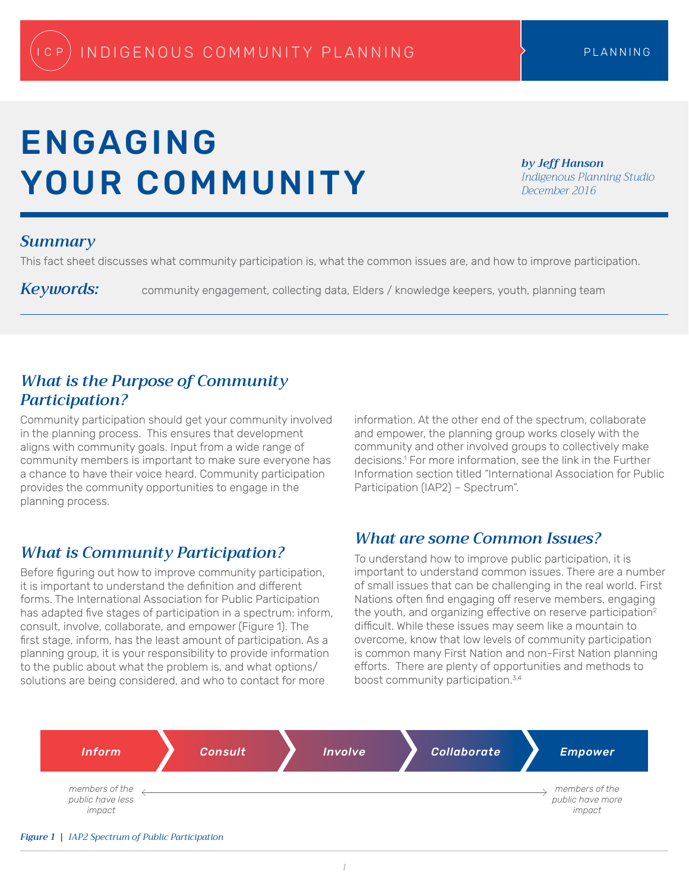# ENGAGING YOUR COMMUNITY

*by Jeff Hanson Indigenous Planning Studio December 2016*

## *Summary*

This fact sheet discusses what community participation is, what the common issues are, and how to improve participation.

Keywords: community engagement, collecting data, Elders / knowledge keepers, youth, planning team

## *What is the Purpose of Community Participation?*

Community participation should get your community involved in the planning process. This ensures that development aligns with community goals. Input from a wide range of community members is important to make sure everyone has a chance to have their voice heard. Community participation provides the community opportunities to engage in the planning process.

# *What is Community Participation?*

Before figuring out how to improve community participation, it is important to understand the definition and different forms. The International Association for Public Participation has adapted five stages of participation in a spectrum: inform, consult, involve, collaborate, and empower (Figure 1). The first stage, inform, has the least amount of participation. As a planning group, it is your responsibility to provide information to the public about what the problem is, and what options/ solutions are being considered, and who to contact for more

information. At the other end of the spectrum, collaborate and empower, the planning group works closely with the community and other involved groups to collectively make decisions.1 For more information, see the link in the Further Information section titled "International Association for Public Participation (IAP2) – Spectrum".

## *What are some Common Issues?*

To understand how to improve public participation, it is important to understand common issues. There are a number of small issues that can be challenging in the real world. First Nations often find engaging off reserve members, engaging the youth, and organizing effective on reserve participation<sup>2</sup> difficult. While these issues may seem like a mountain to overcome, know that low levels of community participation is common many First Nation and non-First Nation planning efforts. There are plenty of opportunities and methods to boost community participation.3,4

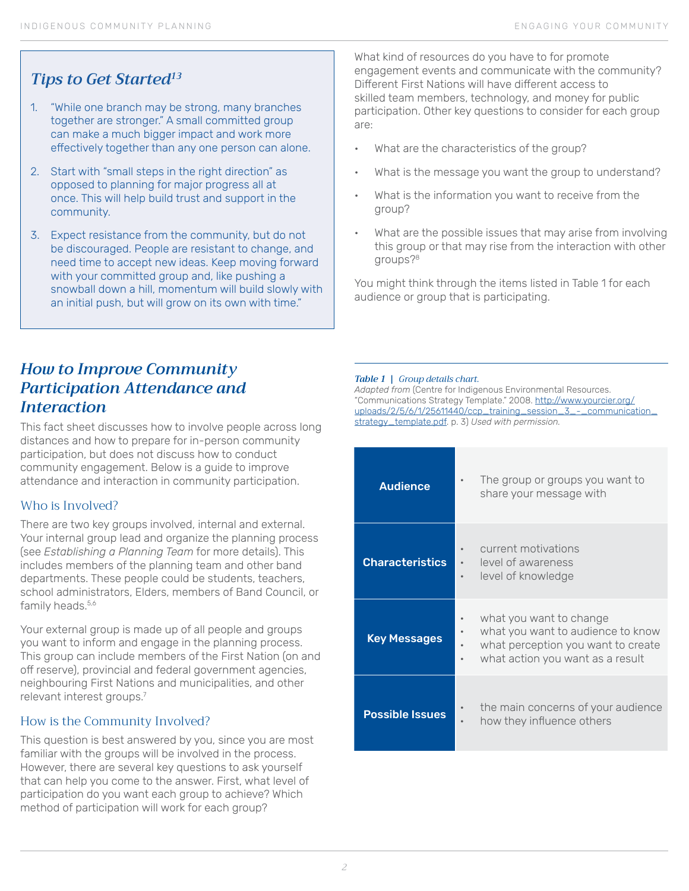# *Tips to Get Started13*

- 1. "While one branch may be strong, many branches together are stronger." A small committed group can make a much bigger impact and work more effectively together than any one person can alone.
- 2. Start with "small steps in the right direction" as opposed to planning for major progress all at once. This will help build trust and support in the community.
- 3. Expect resistance from the community, but do not be discouraged. People are resistant to change, and need time to accept new ideas. Keep moving forward with your committed group and, like pushing a snowball down a hill, momentum will build slowly with an initial push, but will grow on its own with time."

What kind of resources do you have to for promote engagement events and communicate with the community? Different First Nations will have different access to skilled team members, technology, and money for public participation. Other key questions to consider for each group are:

- What are the characteristics of the group?
- What is the message you want the group to understand?
- What is the information you want to receive from the group?
- What are the possible issues that may arise from involving this group or that may rise from the interaction with other groups?8

You might think through the items listed in Table 1 for each audience or group that is participating.

# *How to Improve Community Participation Attendance and Interaction*

This fact sheet discusses how to involve people across long distances and how to prepare for in-person community participation, but does not discuss how to conduct community engagement. Below is a guide to improve attendance and interaction in community participation.

## Who is Involved?

There are two key groups involved, internal and external. Your internal group lead and organize the planning process (see *Establishing a Planning Team* for more details). This includes members of the planning team and other band departments. These people could be students, teachers, school administrators, Elders, members of Band Council, or family heads.<sup>5,6</sup>

Your external group is made up of all people and groups you want to inform and engage in the planning process. This group can include members of the First Nation (on and off reserve), provincial and federal government agencies, neighbouring First Nations and municipalities, and other relevant interest groups.7

## How is the Community Involved?

This question is best answered by you, since you are most familiar with the groups will be involved in the process. However, there are several key questions to ask yourself that can help you come to the answer. First, what level of participation do you want each group to achieve? Which method of participation will work for each group?

#### *Table 1 | Group details chart.*

*Adapted from* (Centre for Indigenous Environmental Resources. "Communications Strategy Template." 2008. [http://www.yourcier.org/](http://www.yourcier.org/uploads/2/5/6/1/25611440/ccp_training_session_3_-_communication_strategy_template.pdf) [uploads/2/5/6/1/25611440/ccp\\_training\\_session\\_3\\_-\\_communication\\_](http://www.yourcier.org/uploads/2/5/6/1/25611440/ccp_training_session_3_-_communication_strategy_template.pdf) [strategy\\_template.pdf](http://www.yourcier.org/uploads/2/5/6/1/25611440/ccp_training_session_3_-_communication_strategy_template.pdf). p. 3) *Used with permission.*

| <b>Audience</b>        | The group or groups you want to<br>share your message with                                                                             |
|------------------------|----------------------------------------------------------------------------------------------------------------------------------------|
| <b>Characteristics</b> | current motivations<br>level of awareness<br>level of knowledge                                                                        |
| <b>Key Messages</b>    | what you want to change<br>what you want to audience to know<br>what perception you want to create<br>what action you want as a result |
| <b>Possible Issues</b> | the main concerns of your audience<br>how they influence others                                                                        |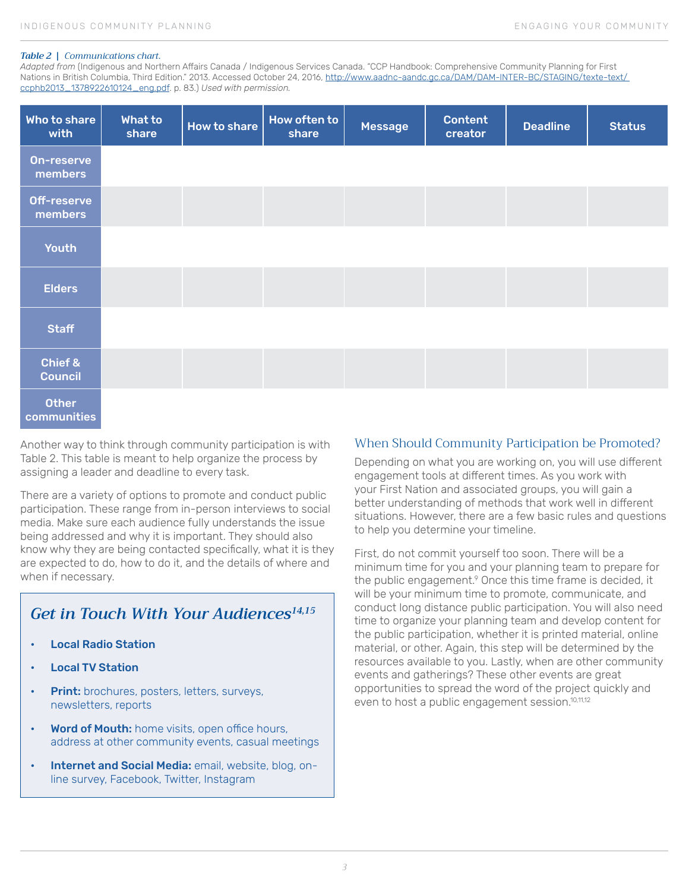#### *Table 2 | Communications chart.*

*Adapted from* (Indigenous and Northern Affairs Canada / Indigenous Services Canada. "CCP Handbook: Comprehensive Community Planning for First Nations in British Columbia, Third Edition." 2013. Accessed October 24, 2016, http://www.aadnc-aandc.gc.ca/DAM/DAM-INTER-BC/STAGING/texte-text/ ccphb2013\_1378922610124\_eng.pdf. p. 83.) *Used with permission.*

| Who to share<br>with         | What to<br>share | How to share | How often to<br>share | Message | <b>Content</b><br>creator | <b>Deadline</b> | <b>Status</b> |
|------------------------------|------------------|--------------|-----------------------|---------|---------------------------|-----------------|---------------|
| <b>On-reserve</b><br>members |                  |              |                       |         |                           |                 |               |
| Off-reserve<br>members       |                  |              |                       |         |                           |                 |               |
| <b>Youth</b>                 |                  |              |                       |         |                           |                 |               |
| <b>Elders</b>                |                  |              |                       |         |                           |                 |               |
| <b>Staff</b>                 |                  |              |                       |         |                           |                 |               |
| Chief &<br><b>Council</b>    |                  |              |                       |         |                           |                 |               |
| <b>Other</b><br>communities  |                  |              |                       |         |                           |                 |               |

Another way to think through community participation is with Table 2. This table is meant to help organize the process by assigning a leader and deadline to every task.

There are a variety of options to promote and conduct public participation. These range from in-person interviews to social media. Make sure each audience fully understands the issue being addressed and why it is important. They should also know why they are being contacted specifically, what it is they are expected to do, how to do it, and the details of where and when if necessary.

# *Get in Touch With Your Audiences14,15*

- Local Radio Station
- **Local TV Station**
- **Print:** brochures, posters, letters, surveys, newsletters, reports
- Word of Mouth: home visits, open office hours, address at other community events, casual meetings
- Internet and Social Media: email, website, blog, online survey, Facebook, Twitter, Instagram

### When Should Community Participation be Promoted?

Depending on what you are working on, you will use different engagement tools at different times. As you work with your First Nation and associated groups, you will gain a better understanding of methods that work well in different situations. However, there are a few basic rules and questions to help you determine your timeline.

First, do not commit yourself too soon. There will be a minimum time for you and your planning team to prepare for the public engagement.<sup>9</sup> Once this time frame is decided, it will be your minimum time to promote, communicate, and conduct long distance public participation. You will also need time to organize your planning team and develop content for the public participation, whether it is printed material, online material, or other. Again, this step will be determined by the resources available to you. Lastly, when are other community events and gatherings? These other events are great opportunities to spread the word of the project quickly and even to host a public engagement session.<sup>10,11,12</sup>